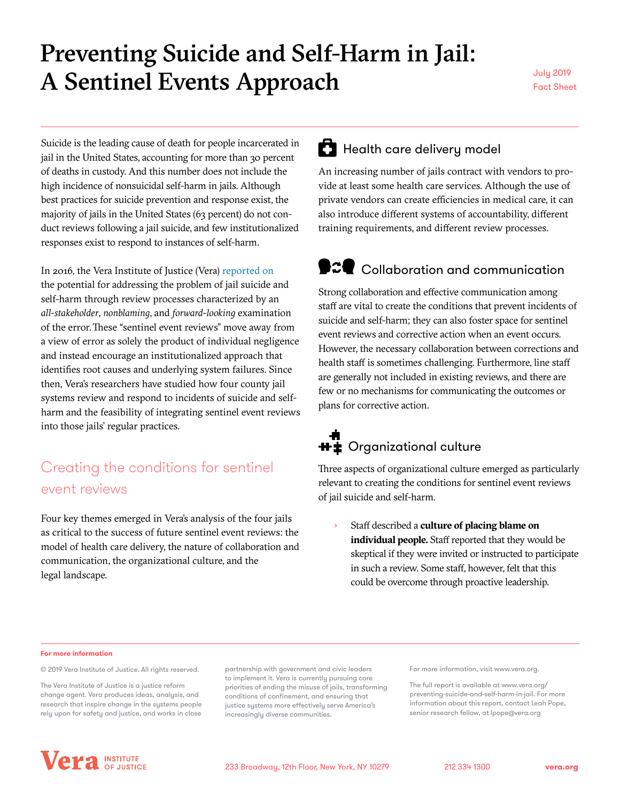# Preventing Suicide and Self-Harm in Jail: A Sentinel Events Approach

Fact Sheet

Suicide is the leading cause of death for people incarcerated in jail in the United States, accounting for more than 30 percent of deaths in custody. And this number does not include the high incidence of nonsuicidal self-harm in jails. Although best practices for suicide prevention and response exist, the majority of jails in the United States (63 percent) do not conduct reviews following a jail suicide, and few institutionalized responses exist to respond to instances of self-harm.

In 2016, the Vera Institute of Justice (Vera) [reported on](https://perma.cc/3259-Z5US) the potential for addressing the problem of jail suicide and self-harm through review processes characterized by an *all-stakeholder*, *nonblaming*, and *forward-looking* examination of the error.These "sentinel event reviews" move away from a view of error as solely the product of individual negligence and instead encourage an institutionalized approach that identifies root causes and underlying system failures. Since then, Vera's researchers have studied how four county jail systems review and respond to incidents of suicide and selfharm and the feasibility of integrating sentinel event reviews into those jails' regular practices.

### Creating the conditions for sentinel event reviews

Four key themes emerged in Vera's analysis of the four jails as critical to the success of future sentinel event reviews: the model of health care delivery, the nature of collaboration and communication, the organizational culture, and the legal landscape.

## **Health care delivery model**

An increasing number of jails contract with vendors to provide at least some health care services. Although the use of private vendors can create efficiencies in medical care, it can also introduce different systems of accountability, different training requirements, and different review processes.

## **9:2** Collaboration and communication

Strong collaboration and effective communication among staff are vital to create the conditions that prevent incidents of suicide and self-harm; they can also foster space for sentinel event reviews and corrective action when an event occurs. However, the necessary collaboration between corrections and health staff is sometimes challenging. Furthermore, line staff are generally not included in existing reviews, and there are few or no mechanisms for communicating the outcomes or plans for corrective action.

# **H**  $\ddot{\mathbf{r}}$  Organizational culture

Three aspects of organizational culture emerged as particularly relevant to creating the conditions for sentinel event reviews of jail suicide and self-harm.

Staff described a **culture of placing blame on individual people.** Staff reported that they would be skeptical if they were invited or instructed to participate in such a review. Some staff, however, felt that this could be overcome through proactive leadership.

#### **For more information**

© 2019 Vera Institute of Justice. All rights reserved.

The Vera Institute of Justice is a justice reform change agent. Vera produces ideas, analysis, and research that inspire change in the systems people rely upon for safety and justice, and works in close

partnership with government and civic leaders to implement it. Vera is currently pursuing core priorities of ending the misuse of jails, transforming conditions of confinement, and ensuring that justice systems more effectively serve America's increasingly diverse communities.

For more information, visit [www.vera.org.](www.vera.org/preventing-suicide-and-self-harm-in-jail.)

The full report is available at www.vera.org/ preventing-suicide-and-self-harm-in-jail. For more information about this report, contact Leah Pope, senior research fellow, at lpope@vera.org